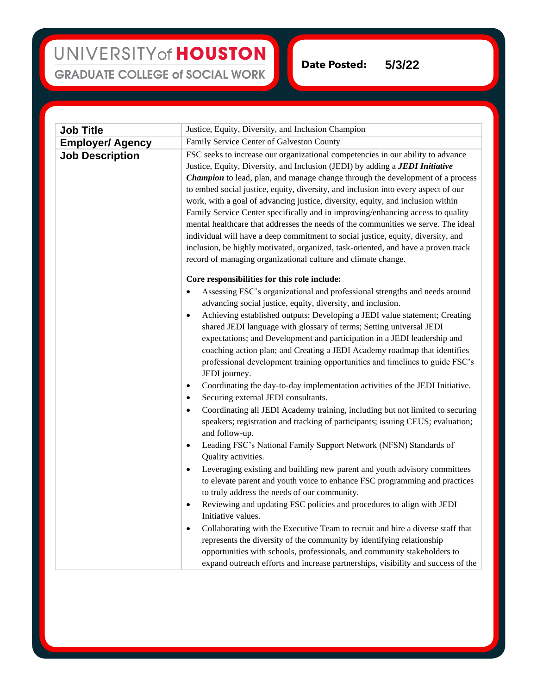## UNIVERSITY of HOUSTON **GRADUATE COLLEGE of SOCIAL WORK**

**Date Posted: 5/3/22**

| <b>Job Title</b>        | Justice, Equity, Diversity, and Inclusion Champion                                                                                                                                                                                                                                                                                                                                                                                                                                                                                                                                                                                                                                                                                                                                                                                                                                                                                                                                                                                                                                                                                                                                                                                                                                                                                                                                                                                                                                                                                                                                                                                                                                                                                                             |
|-------------------------|----------------------------------------------------------------------------------------------------------------------------------------------------------------------------------------------------------------------------------------------------------------------------------------------------------------------------------------------------------------------------------------------------------------------------------------------------------------------------------------------------------------------------------------------------------------------------------------------------------------------------------------------------------------------------------------------------------------------------------------------------------------------------------------------------------------------------------------------------------------------------------------------------------------------------------------------------------------------------------------------------------------------------------------------------------------------------------------------------------------------------------------------------------------------------------------------------------------------------------------------------------------------------------------------------------------------------------------------------------------------------------------------------------------------------------------------------------------------------------------------------------------------------------------------------------------------------------------------------------------------------------------------------------------------------------------------------------------------------------------------------------------|
| <b>Employer/ Agency</b> | Family Service Center of Galveston County                                                                                                                                                                                                                                                                                                                                                                                                                                                                                                                                                                                                                                                                                                                                                                                                                                                                                                                                                                                                                                                                                                                                                                                                                                                                                                                                                                                                                                                                                                                                                                                                                                                                                                                      |
| <b>Job Description</b>  | FSC seeks to increase our organizational competencies in our ability to advance<br>Justice, Equity, Diversity, and Inclusion (JEDI) by adding a <b>JEDI Initiative</b><br>Champion to lead, plan, and manage change through the development of a process<br>to embed social justice, equity, diversity, and inclusion into every aspect of our<br>work, with a goal of advancing justice, diversity, equity, and inclusion within<br>Family Service Center specifically and in improving/enhancing access to quality<br>mental healthcare that addresses the needs of the communities we serve. The ideal<br>individual will have a deep commitment to social justice, equity, diversity, and<br>inclusion, be highly motivated, organized, task-oriented, and have a proven track<br>record of managing organizational culture and climate change.                                                                                                                                                                                                                                                                                                                                                                                                                                                                                                                                                                                                                                                                                                                                                                                                                                                                                                            |
|                         | Core responsibilities for this role include:<br>Assessing FSC's organizational and professional strengths and needs around<br>$\bullet$<br>advancing social justice, equity, diversity, and inclusion.<br>Achieving established outputs: Developing a JEDI value statement; Creating<br>$\bullet$<br>shared JEDI language with glossary of terms; Setting universal JEDI<br>expectations; and Development and participation in a JEDI leadership and<br>coaching action plan; and Creating a JEDI Academy roadmap that identifies<br>professional development training opportunities and timelines to guide FSC's<br>JEDI journey.<br>Coordinating the day-to-day implementation activities of the JEDI Initiative.<br>$\bullet$<br>Securing external JEDI consultants.<br>$\bullet$<br>Coordinating all JEDI Academy training, including but not limited to securing<br>$\bullet$<br>speakers; registration and tracking of participants; issuing CEUS; evaluation;<br>and follow-up.<br>Leading FSC's National Family Support Network (NFSN) Standards of<br>Quality activities.<br>Leveraging existing and building new parent and youth advisory committees<br>$\bullet$<br>to elevate parent and youth voice to enhance FSC programming and practices<br>to truly address the needs of our community.<br>Reviewing and updating FSC policies and procedures to align with JEDI<br>$\bullet$<br>Initiative values.<br>Collaborating with the Executive Team to recruit and hire a diverse staff that<br>$\bullet$<br>represents the diversity of the community by identifying relationship<br>opportunities with schools, professionals, and community stakeholders to<br>expand outreach efforts and increase partnerships, visibility and success of the |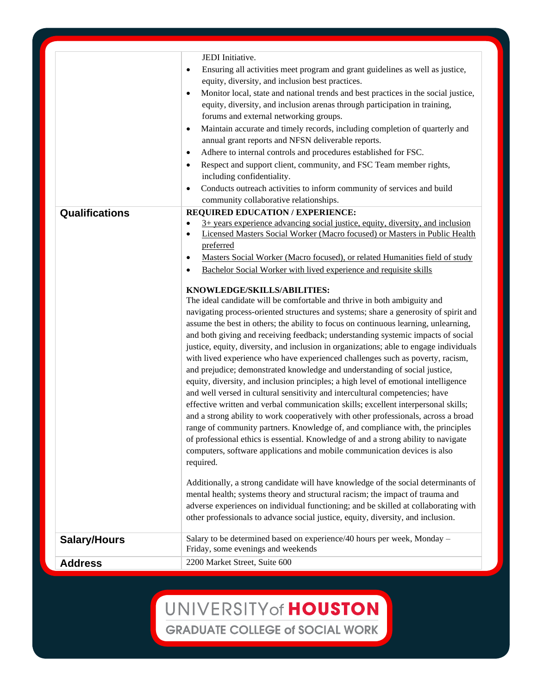|                     | JEDI Initiative.                                                                                                                                             |
|---------------------|--------------------------------------------------------------------------------------------------------------------------------------------------------------|
| $\bullet$           | Ensuring all activities meet program and grant guidelines as well as justice,                                                                                |
|                     | equity, diversity, and inclusion best practices.                                                                                                             |
| $\bullet$           | Monitor local, state and national trends and best practices in the social justice,                                                                           |
|                     | equity, diversity, and inclusion arenas through participation in training,                                                                                   |
|                     | forums and external networking groups.                                                                                                                       |
|                     | Maintain accurate and timely records, including completion of quarterly and<br>$\bullet$                                                                     |
|                     | annual grant reports and NFSN deliverable reports.                                                                                                           |
| $\bullet$           | Adhere to internal controls and procedures established for FSC.                                                                                              |
| $\bullet$           | Respect and support client, community, and FSC Team member rights,                                                                                           |
|                     | including confidentiality.                                                                                                                                   |
| $\bullet$           | Conducts outreach activities to inform community of services and build                                                                                       |
|                     | community collaborative relationships.                                                                                                                       |
| Qualifications      | REQUIRED EDUCATION / EXPERIENCE:                                                                                                                             |
|                     | 3+ years experience advancing social justice, equity, diversity, and inclusion<br>Licensed Masters Social Worker (Macro focused) or Masters in Public Health |
| $\bullet$           | preferred                                                                                                                                                    |
| $\bullet$           | Masters Social Worker (Macro focused), or related Humanities field of study                                                                                  |
|                     | Bachelor Social Worker with lived experience and requisite skills                                                                                            |
| $\bullet$           |                                                                                                                                                              |
|                     | KNOWLEDGE/SKILLS/ABILITIES:                                                                                                                                  |
|                     | The ideal candidate will be comfortable and thrive in both ambiguity and                                                                                     |
|                     | navigating process-oriented structures and systems; share a generosity of spirit and                                                                         |
|                     | assume the best in others; the ability to focus on continuous learning, unlearning,                                                                          |
|                     | and both giving and receiving feedback; understanding systemic impacts of social                                                                             |
|                     | justice, equity, diversity, and inclusion in organizations; able to engage individuals                                                                       |
|                     | with lived experience who have experienced challenges such as poverty, racism,                                                                               |
|                     | and prejudice; demonstrated knowledge and understanding of social justice,                                                                                   |
|                     | equity, diversity, and inclusion principles; a high level of emotional intelligence                                                                          |
|                     | and well versed in cultural sensitivity and intercultural competencies; have                                                                                 |
|                     | effective written and verbal communication skills; excellent interpersonal skills;                                                                           |
|                     | and a strong ability to work cooperatively with other professionals, across a broad                                                                          |
|                     | range of community partners. Knowledge of, and compliance with, the principles                                                                               |
|                     | of professional ethics is essential. Knowledge of and a strong ability to navigate                                                                           |
|                     | computers, software applications and mobile communication devices is also                                                                                    |
|                     | required.                                                                                                                                                    |
|                     | Additionally, a strong candidate will have knowledge of the social determinants of                                                                           |
|                     | mental health; systems theory and structural racism; the impact of trauma and                                                                                |
|                     | adverse experiences on individual functioning; and be skilled at collaborating with                                                                          |
|                     | other professionals to advance social justice, equity, diversity, and inclusion.                                                                             |
|                     |                                                                                                                                                              |
| <b>Salary/Hours</b> | Salary to be determined based on experience/40 hours per week, Monday -                                                                                      |
|                     | Friday, some evenings and weekends                                                                                                                           |
| <b>Address</b>      | 2200 Market Street, Suite 600                                                                                                                                |
|                     |                                                                                                                                                              |

UNIVERSITY of HOUSTON **GRADUATE COLLEGE of SOCIAL WORK**